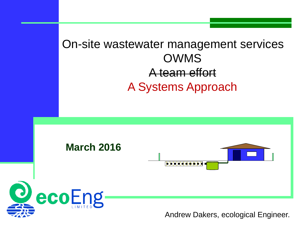#### On-site wastewater management services OWMS A team effort A Systems Approach



Andrew Dakers, ecological Engineer.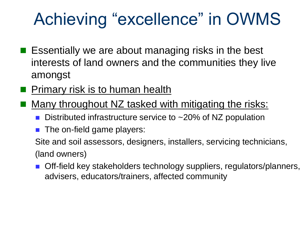# Achieving "excellence" in OWMS

- **E** Essentially we are about managing risks in the best interests of land owners and the communities they live amongst
- Primary risk is to human health
- Many throughout NZ tasked with mitigating the risks:
	- Distributed infrastructure service to ~20% of NZ population
	- The on-field game players:

Site and soil assessors, designers, installers, servicing technicians, (land owners)

 Off-field key stakeholders technology suppliers, regulators/planners, advisers, educators/trainers, affected community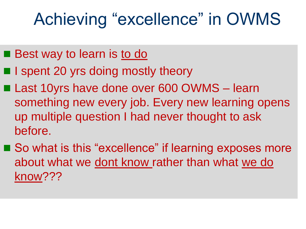## Achieving "excellence" in OWMS

- **Best way to learn is to do**
- I spent 20 yrs doing mostly theory
- Last 10yrs have done over 600 OWMS learn something new every job. Every new learning opens up multiple question I had never thought to ask before.
- So what is this "excellence" if learning exposes more about what we dont know rather than what we do know???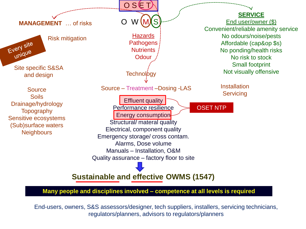

**Many people and disciplines involved – competence at all levels is required**

End-users, owners, S&S assessors/designer, tech suppliers, installers, servicing technicians, regulators/planners, advisors to regulators/planners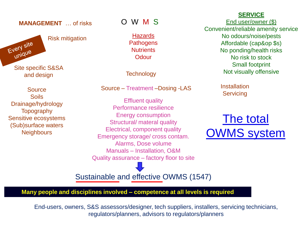#### **MANAGEMENT** … of risks O W M S

Risk mitigation **Hazards** 

Every site unique

**Source** Soils Drainage/hydrology **Topography** Sensitive ecosystems (Sub)surface waters **Neighbours** 

**Pathogens Nutrients Odour** 

**Technology** 

Source – Treatment –Dosing -LAS

Effluent quality Performance resilience Energy consumption Structural/ materal quality Electrical, component quality Emergency storage/ cross contam. Alarms, Dose volume Manuals – Installation, O&M Quality assurance – factory floor to site **SERVICE**

End user/owner (\$) Convenient/reliable amenity service No odours/noise/pests Affordable (cap&op \$s) No ponding/health risks No risk to stock Small footprint Site specific S&SA<br>and design and design and design and design and design and design and design and design and  $\frac{1}{2}$ 

> **Installation Servicing**

The total OWMS system

Sustainable and effective OWMS (1547)

**Many people and disciplines involved – competence at all levels is required**

End-users, owners, S&S assessors/designer, tech suppliers, installers, servicing technicians, regulators/planners, advisors to regulators/planners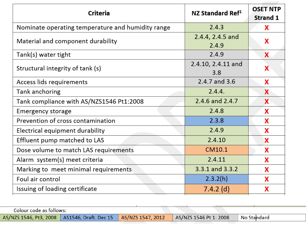| <b>Criteria</b>                                   | NZ Standard Ref <sup>1</sup>   | <b>OSET NTP</b><br><b>Strand 1</b> |
|---------------------------------------------------|--------------------------------|------------------------------------|
| Nominate operating temperature and humidity range | 2.4.3                          | X                                  |
| Material and component durability                 | 2.4.4, 2.4.5 and<br>2.4.9      | X                                  |
| Tank(s) water tight                               | 2.4.9                          | <b>X</b>                           |
| Structural integrity of tank (s)                  | 2.4.10, 2.4.11 and<br>X<br>3.8 |                                    |
| Access lids requirements                          | 2.4.7 and 3.6                  | X                                  |
| Tank anchoring                                    | 2.4.4.                         | X                                  |
| Tank compliance with AS/NZS1546 Pt1:2008          | 2.4.6 and 2.4.7                | X                                  |
| <b>Emergency storage</b>                          | 2.4.8                          | X                                  |
| Prevention of cross contamination                 | 2.3.8                          | X                                  |
| Electrical equipment durability                   | 2.4.9                          | X                                  |
| Effluent pump matched to LAS                      | 2.4.10                         | X                                  |
| Dose volume to match LAS requirements             | CM10.1                         | X                                  |
| Alarm system(s) meet criteria                     | 2.4.11                         | X                                  |
| Marking to meet minimal requirements              | 3.3.1 and 3.3.2                | X                                  |
| Foul air control                                  | 2.3.2(h)                       | X                                  |
| Issuing of loading certificate                    | $7.4.2$ (d)                    | X                                  |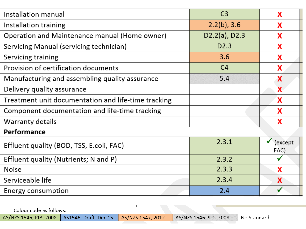| Installation manual                                 | C <sub>3</sub>   | X               |  |  |
|-----------------------------------------------------|------------------|-----------------|--|--|
| Installation training                               | $2.2(b)$ , 3.6   | X               |  |  |
| Operation and Maintenance manual (Home owner)       | $D2.2(a)$ , D2.3 | X               |  |  |
| Servicing Manual (servicing technician)             | D <sub>2.3</sub> | X               |  |  |
| Servicing training                                  | 3.6              | x               |  |  |
| Provision of certification documents                | C <sub>4</sub>   | X               |  |  |
| Manufacturing and assembling quality assurance      | 5.4              | X               |  |  |
| Delivery quality assurance                          |                  | <b>X</b>        |  |  |
| Treatment unit documentation and life-time tracking |                  | X               |  |  |
| Component documentation and life-time tracking      |                  | X               |  |  |
| Warranty details                                    |                  | X               |  |  |
| Performance                                         |                  |                 |  |  |
| Effluent quality (BOD, TSS, E.coli, FAC)            | 2.3.1            | (except<br>FAC) |  |  |
| Effluent quality (Nutrients; N and P)               | 2.3.2            |                 |  |  |
| <b>Noise</b>                                        | 2.3.3            | X               |  |  |
| Serviceable life                                    | 2.3.4            | X               |  |  |
| Energy consumption                                  | 2.4              |                 |  |  |
|                                                     |                  |                 |  |  |

| Colour code as follows: |                                                                    |                        |                          |
|-------------------------|--------------------------------------------------------------------|------------------------|--------------------------|
|                         | AS/NZS 1546, Pt3, 2008   AS1546, Draft. Dec 15   AS/NZS 1547, 2012 | AS/NZS 1546 Pt 1: 2008 | <sup>¶</sup> No Standard |
|                         |                                                                    |                        |                          |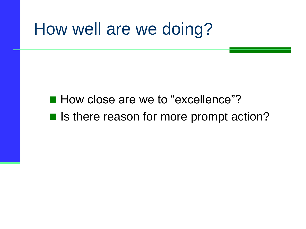#### How well are we doing?

■ How close are we to "excellence"? ■ Is there reason for more prompt action?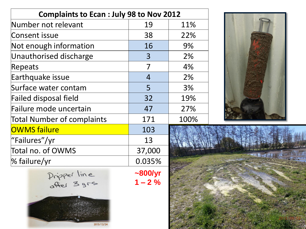| <b>Complaints to Ecan : July 98 to Nov 2012</b> |                            |      |  |
|-------------------------------------------------|----------------------------|------|--|
| Number not relevant                             | 19                         | 11%  |  |
| <b>Consent issue</b>                            | 38                         | 22%  |  |
| Not enough information                          | 16                         | 9%   |  |
| Unauthorised discharge                          | 3                          | 2%   |  |
| Repeats                                         | $\overline{7}$             | 4%   |  |
| Earthquake issue                                | $\overline{4}$             | 2%   |  |
| Surface water contam                            | 5                          | 3%   |  |
| <b>Failed disposal field</b>                    | 32                         | 19%  |  |
| Failure mode uncertain                          | 47                         | 27%  |  |
| <b>Total Number of complaints</b>               | 171                        | 100% |  |
| <b>OWMS failure</b>                             | 103                        |      |  |
| "Failures"/yr                                   | 13                         |      |  |
| Total no. of OWMS                               | 37,000                     |      |  |
| % failure/yr                                    | 0.035%                     |      |  |
| Pripper line                                    | $\sim$ 800/yr<br>$1 - 2\%$ |      |  |

2013/12/24



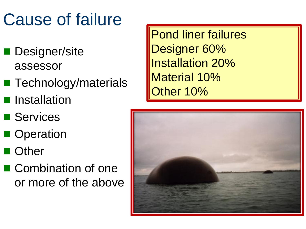# Cause of failure

- **Designer/site** assessor
- Technology/materials
- **Installation**
- **Services**
- **Operation**
- **Other**
- Combination of one or more of the above

Pond liner failures Designer 60% Installation 20% Material 10% Other 10%

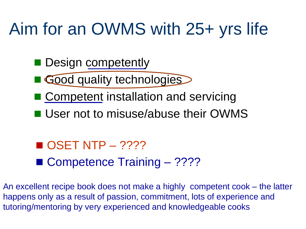# Aim for an OWMS with 25+ yrs life

- Design competently
- Good quality technologies
- Competent installation and servicing
- User not to misuse/abuse their OWMS

 $\blacksquare$  OSET NTP – ???? ■ Competence Training – ????

An excellent recipe book does not make a highly competent cook – the latter happens only as a result of passion, commitment, lots of experience and tutoring/mentoring by very experienced and knowledgeable cooks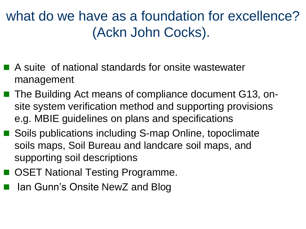#### what do we have as a foundation for excellence? (Ackn John Cocks).

- A suite of national standards for onsite wastewater management
- The Building Act means of compliance document G13, onsite system verification method and supporting provisions e.g. MBIE guidelines on plans and specifications
- Soils publications including S-map Online, topoclimate soils maps, Soil Bureau and landcare soil maps, and supporting soil descriptions
- OSET National Testing Programme.
- Ian Gunn's Onsite NewZ and Blog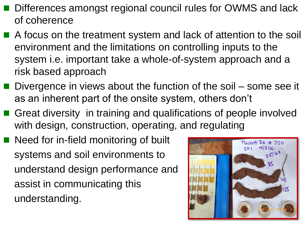- Differences amongst regional council rules for OWMS and lack of coherence
- A focus on the treatment system and lack of attention to the soil environment and the limitations on controlling inputs to the system i.e. important take a whole-of-system approach and a risk based approach
- Divergence in views about the function of the soil some see it as an inherent part of the onsite system, others don't
- Great diversity in training and qualifications of people involved with design, construction, operating, and regulating
- Need for in-field monitoring of built systems and soil environments to understand design performance and assist in communicating this understanding.

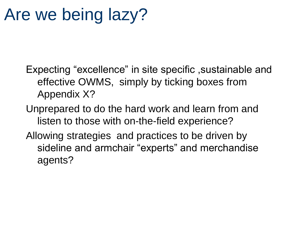### Are we being lazy?

Expecting "excellence" in site specific ,sustainable and effective OWMS, simply by ticking boxes from Appendix X?

Unprepared to do the hard work and learn from and listen to those with on-the-field experience?

Allowing strategies and practices to be driven by sideline and armchair "experts" and merchandise agents?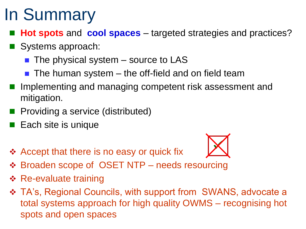# In Summary

- **Hot spots** and **cool spaces** targeted strategies and practices?
- Systems approach:
	- $\blacksquare$  The physical system source to LAS
	- $\blacksquare$  The human system  $-$  the off-field and on field team
- Implementing and managing competent risk assessment and mitigation.
- **Providing a service (distributed)**
- Each site is unique
- ❖ Accept that there is no easy or quick fix



- Broaden scope of OSET NTP needs resourcing
- **❖ Re-evaluate training**
- $\div$  **TA's, Regional Councils, with support from SWANS, advocate a** total systems approach for high quality OWMS – recognising hot spots and open spaces